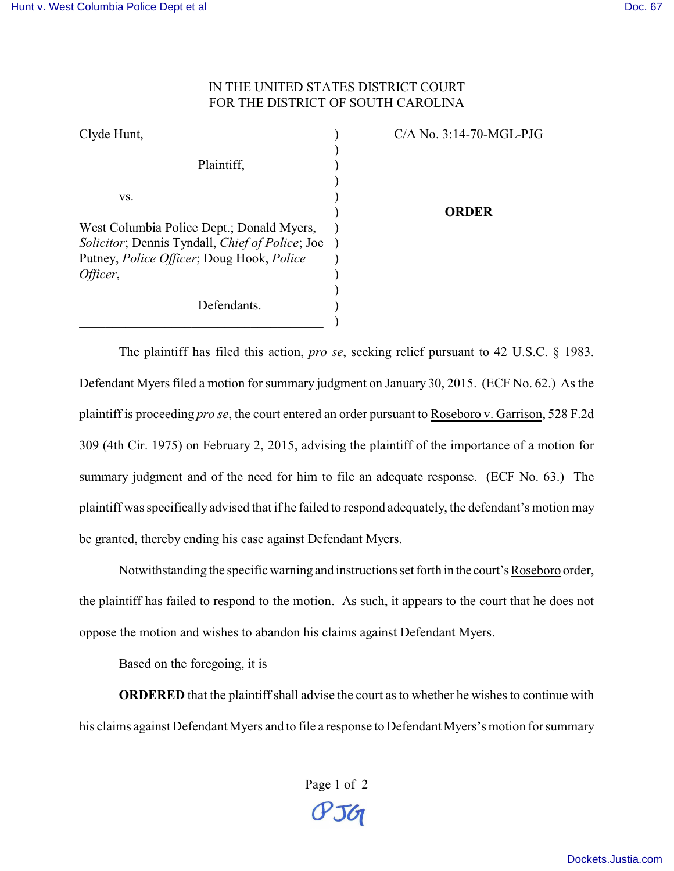## IN THE UNITED STATES DISTRICT COURT FOR THE DISTRICT OF SOUTH CAROLINA

| Clyde Hunt,                                                                                                 | $C/A$ No. 3:14-70-MGL-PJG |
|-------------------------------------------------------------------------------------------------------------|---------------------------|
| Plaintiff,                                                                                                  |                           |
| VS.                                                                                                         |                           |
| West Columbia Police Dept.; Donald Myers,                                                                   | ORDER                     |
| Solicitor; Dennis Tyndall, Chief of Police; Joe<br>Putney, <i>Police Officer</i> ; Doug Hook, <i>Police</i> |                           |
| Officer,                                                                                                    |                           |
| Defendants.                                                                                                 |                           |

The plaintiff has filed this action, *pro se*, seeking relief pursuant to 42 U.S.C. § 1983. Defendant Myers filed a motion for summary judgment on January 30, 2015. (ECF No. 62.) As the plaintiff is proceeding *pro se*, the court entered an order pursuant to Roseboro v. Garrison, 528 F.2d 309 (4th Cir. 1975) on February 2, 2015, advising the plaintiff of the importance of a motion for summary judgment and of the need for him to file an adequate response. (ECF No. 63.) The plaintiff was specifically advised that if he failed to respond adequately, the defendant's motion may be granted, thereby ending his case against Defendant Myers.

Notwithstanding the specific warning and instructions set forth in the court's Roseboro order, the plaintiff has failed to respond to the motion. As such, it appears to the court that he does not oppose the motion and wishes to abandon his claims against Defendant Myers.

Based on the foregoing, it is

**ORDERED** that the plaintiff shall advise the court as to whether he wishes to continue with his claims against Defendant Myers and to file a response to Defendant Myers's motion for summary

> Page 1 of 2  $P56$